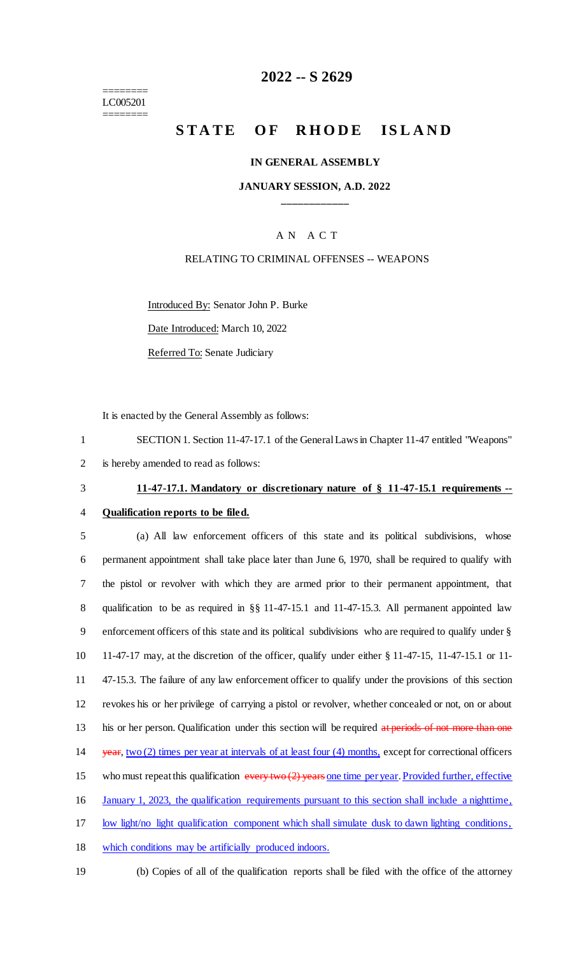======== LC005201 ========

### **2022 -- S 2629**

# **STATE OF RHODE ISLAND**

#### **IN GENERAL ASSEMBLY**

### **JANUARY SESSION, A.D. 2022 \_\_\_\_\_\_\_\_\_\_\_\_**

### A N A C T

#### RELATING TO CRIMINAL OFFENSES -- WEAPONS

Introduced By: Senator John P. Burke

Date Introduced: March 10, 2022

Referred To: Senate Judiciary

It is enacted by the General Assembly as follows:

1 SECTION 1. Section 11-47-17.1 of the General Laws in Chapter 11-47 entitled "Weapons" 2 is hereby amended to read as follows:

# 3 **11-47-17.1. Mandatory or discretionary nature of § 11-47-15.1 requirements --**

### 4 **Qualification reports to be filed.**

 (a) All law enforcement officers of this state and its political subdivisions, whose permanent appointment shall take place later than June 6, 1970, shall be required to qualify with the pistol or revolver with which they are armed prior to their permanent appointment, that qualification to be as required in §§ 11-47-15.1 and 11-47-15.3. All permanent appointed law enforcement officers of this state and its political subdivisions who are required to qualify under § 11-47-17 may, at the discretion of the officer, qualify under either § 11-47-15, 11-47-15.1 or 11- 47-15.3. The failure of any law enforcement officer to qualify under the provisions of this section revokes his or her privilege of carrying a pistol or revolver, whether concealed or not, on or about 13 his or her person. Qualification under this section will be required at periods of not more than one 14 year, two (2) times per year at intervals of at least four (4) months, except for correctional officers 15 who must repeat this qualification  $\frac{1}{2}$  vears one time per year. Provided further, effective January 1, 2023, the qualification requirements pursuant to this section shall include a nighttime, low light/no light qualification component which shall simulate dusk to dawn lighting conditions, which conditions may be artificially produced indoors.

- 
- 19 (b) Copies of all of the qualification reports shall be filed with the office of the attorney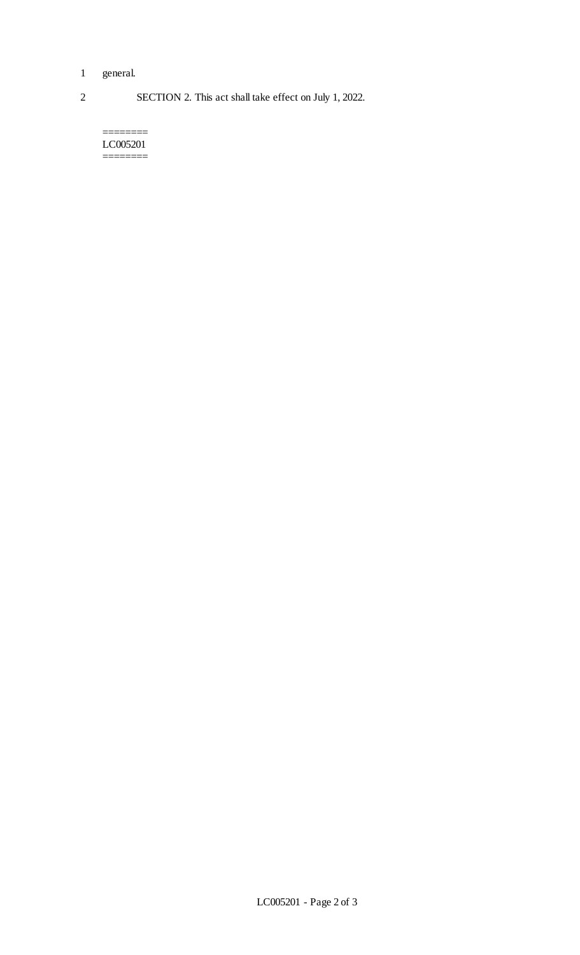- 1 general.
- 2 SECTION 2. This act shall take effect on July 1, 2022.

======== LC005201 ========